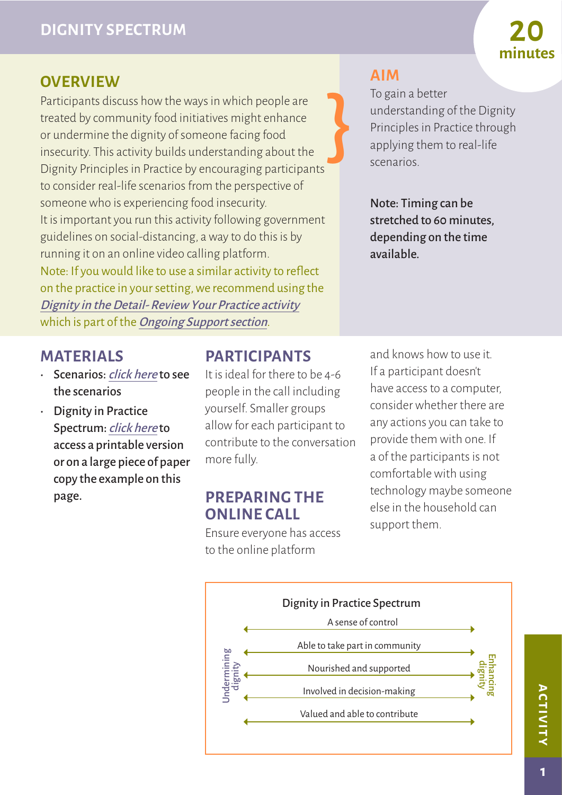## **OVERVIEW**

} Participants discuss how the ways in which people are treated by community food initiatives might enhance or undermine the dignity of someone facing food insecurity. This activity builds understanding about the Dignity Principles in Practice by encouraging participants to consider real-life scenarios from the perspective of someone who is experiencing food insecurity. It is important you run this activity following government guidelines on social-distancing, a way to do this is by running it on an online video calling platform. Note: If you would like to use a similar activity to reflect on the practice in your setting, we recommend using the [Dignity in the Detail- Review Your Practice activity](http://www.nourishscotland.org/wp-content/uploads/2020/07/B.2-Review-Your-Practice2-1.pdf) which is part of the *[Ongoing Support section](http://www.nourishscotland.org/ongoing-support/)*.

## **MATERIALS**

- Scenarios: [click here](http://www.nourishscotland.org/wp-content/uploads/2020/07/C.2-Scenarios1.pdf) to see the scenarios
- Dignity in Practice Spectrum: [click here](http://www.nourishscotland.org/wp-content/uploads/2020/07/C.2-Spectrum-Board1.pdf) to access a printable version or on a large piece of paper copy the example on this page.

## **PARTICIPANTS**

It is ideal for there to be 4-6 people in the call including yourself. Smaller groups allow for each participant to contribute to the conversation more fully.

#### **PREPARING THE ONLINE CALL**

Ensure everyone has access to the online platform

**AIM**

To gain a better understanding of the Dignity Principles in Practice through applying them to real-life scenarios.

**minutes**

Note: Timing can be stretched to 60 minutes, depending on the time available.

and knows how to use it. If a participant doesn't have access to a computer, consider whether there are any actions you can take to provide them with one. If a of the participants is not comfortable with using technology maybe someone else in the household can support them.



**activity ACTIVITY**